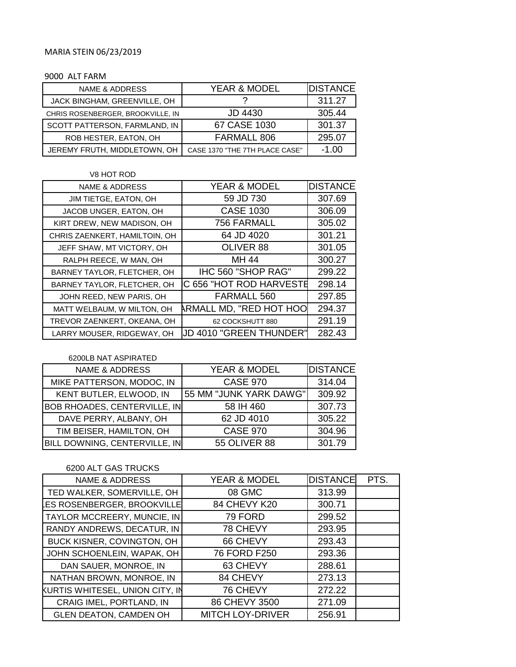# MARIA STEIN 06/23/2019

#### 9000 ALT FARM

| NAME & ADDRESS                    | <b>YEAR &amp; MODEL</b>        | <b>DISTANCE</b> |
|-----------------------------------|--------------------------------|-----------------|
| JACK BINGHAM, GREENVILLE, OH      |                                | 311.27          |
| CHRIS ROSENBERGER, BROOKVILLE, IN | JD 4430                        | 305.44          |
| SCOTT PATTERSON, FARMLAND, IN     | 67 CASE 1030                   | 301.37          |
| ROB HESTER, EATON, OH             | FARMALL 806                    | 295.07          |
| JEREMY FRUTH, MIDDLETOWN, OH      | CASE 1370 "THE 7TH PLACE CASE" | $-1.00$         |

| V8 HOT ROD                     |                                |                 |
|--------------------------------|--------------------------------|-----------------|
| YEAR & MODEL<br>NAME & ADDRESS |                                | <b>DISTANCE</b> |
| JIM TIETGE, EATON, OH          | 59 JD 730                      | 307.69          |
| JACOB UNGER, EATON, OH         | <b>CASE 1030</b>               | 306.09          |
| KIRT DREW, NEW MADISON, OH     | 756 FARMALL                    | 305.02          |
| CHRIS ZAENKERT, HAMILTOIN, OH  | 64 JD 4020                     | 301.21          |
| JEFF SHAW, MT VICTORY, OH      | OLIVER 88                      | 301.05          |
| RALPH REECE, W MAN, OH         | MH 44                          | 300.27          |
| BARNEY TAYLOR, FLETCHER, OH    | IHC 560 "SHOP RAG"             | 299.22          |
| BARNEY TAYLOR, FLETCHER, OH    | C 656 "HOT ROD HARVESTE        | 298.14          |
| JOHN REED, NEW PARIS, OH       | FARMALL 560                    | 297.85          |
| MATT WELBAUM, W MILTON, OH     | <b>ARMALL MD, "RED HOT HOO</b> | 294.37          |
| TREVOR ZAENKERT, OKEANA, OH    | 62 COCKSHUTT 880               | 291.19          |
| LARRY MOUSER, RIDGEWAY, OH     | UD 4010 "GREEN THUNDER"        | 282.43          |

### 6200LB NAT ASPIRATED

| <b>YEAR &amp; MODEL</b><br><b>NAME &amp; ADDRESS</b> |                        | <b>DISTANCE</b> |  |
|------------------------------------------------------|------------------------|-----------------|--|
| MIKE PATTERSON, MODOC, IN                            | <b>CASE 970</b>        | 314.04          |  |
| KENT BUTLER, ELWOOD, IN                              | 55 MM "JUNK YARK DAWG" | 309.92          |  |
| <b>BOB RHOADES, CENTERVILLE, IN</b>                  | 58 IH 460              | 307.73          |  |
| DAVE PERRY, ALBANY, OH                               | 62 JD 4010             | 305.22          |  |
| TIM BEISER, HAMILTON, OH                             | <b>CASE 970</b>        | 304.96          |  |
| BILL DOWNING, CENTERVILLE, IN                        | <b>55 OLIVER 88</b>    | 301.79          |  |

# 6200 ALT GAS TRUCKS

| <b>NAME &amp; ADDRESS</b>       | <b>YEAR &amp; MODEL</b> | <b>DISTANCE</b> | PTS. |
|---------------------------------|-------------------------|-----------------|------|
| TED WALKER, SOMERVILLE, OH      | 08 GMC                  | 313.99          |      |
| ES ROSENBERGER, BROOKVILLE      | 84 CHEVY K20            | 300.71          |      |
| TAYLOR MCCREERY, MUNCIE, IN     | 79 FORD                 | 299.52          |      |
| RANDY ANDREWS, DECATUR, IN      | 78 CHEVY                | 293.95          |      |
| BUCK KISNER, COVINGTON, OH      | 66 CHEVY                | 293.43          |      |
| JOHN SCHOENLEIN, WAPAK, OH      | 76 FORD F250            | 293.36          |      |
| DAN SAUER, MONROE, IN           | 63 CHEVY                | 288.61          |      |
| NATHAN BROWN, MONROE, IN        | 84 CHEVY                | 273.13          |      |
| KURTIS WHITESEL, UNION CITY, IN | 76 CHEVY                | 272.22          |      |
| CRAIG IMEL, PORTLAND, IN        | 86 CHEVY 3500           | 271.09          |      |
| <b>GLEN DEATON, CAMDEN OH</b>   | <b>MITCH LOY-DRIVER</b> | 256.91          |      |